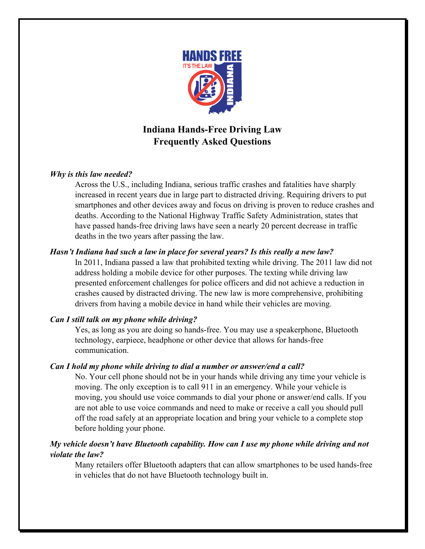

# **Indiana Hands-Free Driving Law Frequently Asked Questions**

## *Why is this law needed?*

Across the U.S., including Indiana, serious traffic crashes and fatalities have sharply increased in recent years due in large part to distracted driving. Requiring drivers to put smartphones and other devices away and focus on driving is proven to reduce crashes and deaths. According to the National Highway Traffic Safety Administration, states that have passed hands-free driving laws have seen a nearly 20 percent decrease in traffic deaths in the two years after passing the law.

## *Hasn't Indiana had such a law in place for several years? Is this really a new law?*

In 2011, Indiana passed a law that prohibited texting while driving. The 2011 law did not address holding a mobile device for other purposes. The texting while driving law presented enforcement challenges for police officers and did not achieve a reduction in crashes caused by distracted driving. The new law is more comprehensive, prohibiting drivers from having a mobile device in hand while their vehicles are moving.

# *Can I still talk on my phone while driving?*

Yes, as long as you are doing so hands-free. You may use a speakerphone, Bluetooth technology, earpiece, headphone or other device that allows for hands-free communication.

## *Can I hold my phone while driving to dial a number or answer/end a call?*

No. Your cell phone should not be in your hands while driving any time your vehicle is moving. The only exception is to call 911 in an emergency. While your vehicle is moving, you should use voice commands to dial your phone or answer/end calls. If you are not able to use voice commands and need to make or receive a call you should pull off the road safely at an appropriate location and bring your vehicle to a complete stop before holding your phone.

## *My vehicle doesn't have Bluetooth capability. How can I use my phone while driving and not violate the law?*

Many retailers offer Bluetooth adapters that can allow smartphones to be used hands-free in vehicles that do not have Bluetooth technology built in.